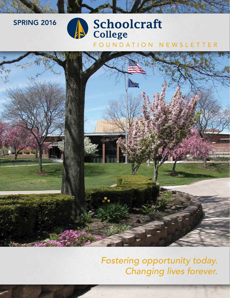### **SPRING 2016**

# Schoolcraft<br>College

FOUNDATION NEWSLETTER



*Fostering opportunity today. Changing lives forever.*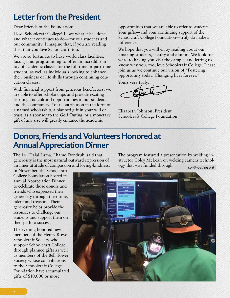## Letter from the President

Dear Friends of the Foundation:

I love Schoolcraft College! I love what it has done and what it continues to do—for our students and our community. I imagine that, if you are reading this, that you love Schoolcraft, too.

We are so fortunate to have world class facilities, faculty and programming to offer an incredible array of academic classes for the full-time or part-time student, as well as individuals looking to enhance their business or life skills through continuing education classes.

With financial support from generous benefactors, we are able to offer scholarships and provide exciting learning and cultural opportunities to our students and the community. Your contribution in the form of a named scholarship, a planned gift in your will or trust, as a sponsor to the Golf Outing, or a monetary gift of any size will greatly enhance the academic

opportunities that we are able to offer to students. Your gifts—and your continuing support of the Schoolcraft College Foundation—truly do make a difference.

We hope that you will enjoy reading about our amazing students, faculty and alumni. We look forward to having you visit the campus and letting us know why you, too, love Schoolcraft College. Please join us as we continue our vision of "Fostering opportunity today. Changing lives forever."

Yours very truly,

Elizabeth Johnson, President Schoolcraft College Foundation

### Donors, Friends and Volunteers Honored at Annual Appreciation Dinner

The 14th Dalai Lama, Lhamo Dondrub, said that generosity is the most natural outward expression of an inner attitude of compassion and loving-kindness.

In November, the Schoolcraft College Foundation hosted its annual Appreciation Dinner to celebrate those donors and friends who expressed their generosity through their time, talent and treasure. Their generosity helps provide the resources to challenge our students and support them on their path to success.

The evening honored new members of the Henry Rowe Schoolcraft Society who support Schoolcraft College through planned gifts as well as members of the Bell Tower Society whose contributions to the Schoolcraft College Foundation have accumulated gifts of \$10,000 or more.

The program featured a presentation by welding instructor Coley McLean on welding camera technology that was funded through *continued on p. 6*

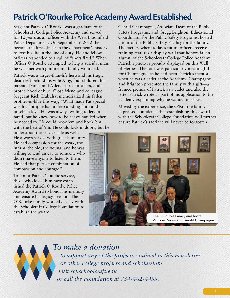# Patrick O'Rourke Police Academy Award Established

Sergeant Patrick O'Rourke was a graduate of the Schoolcraft College Police Academy and served for 12 years as an officer with the West Bloomfield Police Department. On September 9, 2012, he became the first officer in the department's history to lose his life in the line of duty. He and fellow officers responded to a call of "shots fired." When Officer O'Rourke attempted to help a suicidal man, he was met with gunfire and fatally wounded.

Patrick was a larger-than-life hero and his tragic death left behind his wife Amy, four children, his parents Daniel and Arlene, three brothers, and a brotherhood of blue. Close friend and colleague, Sergeant Rick Trabulsy, memorialized his fallen brother-in-blue this way, "What made Pat special was his faith; he had a deep abiding faith and unselfish love. He was always willing to lend a hand, but he knew how to be heavy-handed when he needed to. He could hook 'em and book 'em with the best of 'em. He could kick in doors, but he

understood the service side as well. He always served with great humanity. He had compassion for the weak, the infirm, the old, the young, and he was willing to lend an ear to someone who didn't have anyone to listen to them. He had that perfect combination of compassion and courage."

To honor Patrick's public service, those who loved him have established the Patrick O'Rourke Police Academy Award to honor his memory and ensure his legacy lives on. The O'Rourke family worked closely with the Schoolcraft College Foundation to establish the award.

Gerald Champagne, Associate Dean of the Public Safety Programs, and Gregg Brighton, Educational Coordinator for the Public Safety Programs, hosted a tour of the Public Safety Facility for the family. The facility where today's future officers receive training features a display wall that honors fallen alumni of the Schoolcraft College Police Academy. Patrick's photo is proudly displayed on this Wall of Heroes. The tour was particularly meaningful for Champagne, as he had been Patrick's mentor when he was a cadet at the Academy. Champagne and Brighton presented the family with a gift—a framed picture of Patrick as a cadet and also the letter Patrick wrote as part of his application to the academy explaining why he wanted to serve.

Moved by the experience, the O'Rourke family expressed confidence that establishing this award with the Schoolcraft College Foundation will further ensure Patrick's sacrifice will never be forgotten.





*To make a donation to support any of the projects outlined in this newsletter or other college projects and scholarships visit scf.schoolcraft.edu or call the Foundation at 734‑462‑4455.*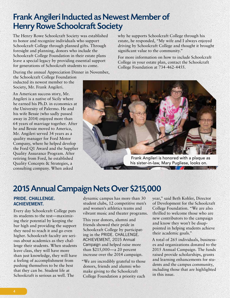## Frank Angileri Inducted as Newest Member of Henry Rowe Schoolcraft Society

The Henry Rowe Schoolcraft Society was established to honor and recognize individuals who support Schoolcraft College through planned gifts. Through foresight and planning, donors who include the Schoolcraft College Foundation in their estate plans leave a special legacy by providing essential support for generations of Schoolcraft students to come.

During the annual Appreciation Dinner in November,

the Schoolcraft College Foundation inducted its newest member to the Society, Mr. Frank Angileri.

An American success story, Mr. Angileri is a native of Sicily where he earned his Ph.D. in economics at the University of Palermo. He and his wife Bessie (who sadly passed away in 2014) enjoyed more than 64 years of marriage together. After he and Bessie moved to America, Mr. Angileri served 34 years as a quality manager for Ford Motor Company, where he helped develop the Ford Q1 Award and the Supplier Quality Assurance Program. After retiring from Ford, he established Quality Concepts & Strategies, a consulting company. When asked

why he supports Schoolcraft College through his estate, he responded, "My wife and I always enjoyed driving by Schoolcraft College and thought it brought significant value to the community."

For more information on how to include Schoolcraft College in your estate plan, contact the Schoolcraft College Foundation at 734-462-4455.



his sister-in-law, Mary Pugliese, looks on.

# 2015 Annual Campaign Nets Over \$215,000

### PRIDE. CHALLENGE. ACHIEVEMENT.

Every day Schoolcraft College puts its students to the test—maximizing their potential by keeping the bar high and providing the support they need to reach it and go even higher. Schoolcraft faculty are serious about academics as they challenge their students. When students leave class, they will have more than just knowledge, they will have a feeling of accomplishment from pushing themselves to be the best that they can be. Student life at Schoolcraft is serious as well. The

dynamic campus has more than 30 student clubs, 12 competitive men's and women's athletics teams and vibrant music and theater programs.

This year donors, alumni and friends showed their pride in Schoolcraft College by participating in the PRIDE. CHALLENGE. ACHIEVEMENT, 2015 Annual Campaign and helped raise more than \$215,000—a 20 percent increase over the 2014 campaign.

"We are incredibly grateful to those donors, friends and alumni who make giving to the Schoolcraft College Foundation a priority each

year," said Beth Kohler, Director of Development for the Schoolcraft College Foundation. "We are also thrilled to welcome those who are new contributors to the campaign and know they won't be disappointed in helping students achieve their academic goals."

A total of 265 individuals, businesses and organizations donated to the 2015 Annual Campaign. The funds raised provide scholarships, grants and learning enhancements for students and the campus community, including those that are highlighted in this issue.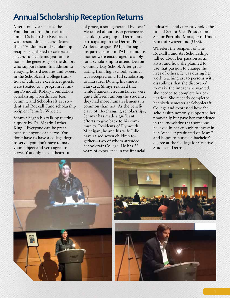# Annual Scholarship Reception Returns

After a one year hiatus, the Foundation brought back its annual Scholarship Reception with resounding success. More than 170 donors and scholarship recipients gathered to celebrate a successful academic year and to honor the generosity of the donors who support them. In addition to enjoying hors d'oeuvres and sweets in the Schoolcraft College tradition of culinary excellence, guests were treated to a program featuring Plymouth Rotary Foundation Scholarship Coordinator Ron Schmyr, and Schoolcraft art student and Rockall Fund scholarship recipient Jennifer Wheeler.

Schmyr began his talk by reciting a quote by Dr. Martin Luther King. "Everyone can be great, because anyone can serve. You don't have to have a college degree to serve, you don't have to make your subject and verb agree to serve. You only need a heart full

of grace, a soul generated by love." He talked about his experience as a child growing up in Detroit and participating in the Detroit Police Athletic League (PAL). Through his participation in PAL he and his mother were encouraged to apply for a scholarship to attend Detroit Country Day School. After graduating from high school, Schmyr was accepted on a full scholarship to Harvard. During his time at Harvard, Shmyr realized that while financial circumstances were quite different among the students, they had more human elements in common than not. As the beneficiary of life-changing scholarships, Schmyr has made significant efforts to give back to his community. Residents of Plymouth, Michigan, he and his wife Julie have raised seven children together—two of whom attended Schoolcraft College. He has 33 years of experience in the financial

industry—and currently holds the title of Senior Vice President and Senior Portfolio Manager of Union Bank of Switzerland (UBS).

Wheeler, the recipient of The Rockall Fund Art Scholarship, talked about her passion as an artist and how she planned to use that passion to change the lives of others. It was during her work teaching art to persons with disabilities that she discovered to make the impact she wanted, she needed to complete her education. She recently completed her sixth semester at Schoolcraft College and expressed how the scholarship not only supported her financially but gave her confidence in the knowledge that someone believed in her enough to invest in her. Wheeler graduated on May 7 and hopes to pursue a bachelor's degree at the College for Creative Studies in Detroit.

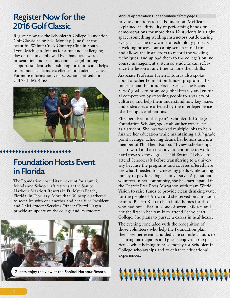### Register Now for the 2016 Golf Classic

Register now for the Schoolcraft College Foundation Golf Classic being held Monday, June 6, at the beautiful Walnut Creek Country Club in South Lyon, Michigan. Join us for a fun and challenging day on the links followed by a banquet, awards presentation and silent auction. The golf outing supports student scholarship opportunities and helps to promote academic excellence for student success. For more information visit scf.schoolcraft.edu or call 734-462-4463.



# Foundation Hosts Event in Florida

\*\*\*\*\*\*\*\*\*\*\*\*\*\*

The Foundation hosted its first event for alumni, friends and Schoolcraft retirees at the Sanibel Harbour Marriott Resorts in Ft. Myers Beach, Florida, in February. More than 30 people gathered to socialize with one another and hear Vice President and Chief Student Services Officer Cheryl Hagen provide an update on the college and its students.



Guests enjoy the view at the Sanibel Harbour Resort.

Annual Appreciation Dinner *continued from page 2* private donations to the Foundation. McClean explained the difficulty of performing hands-on demonstrations for more than 12 students in a tight space, something welding instructors battle during every class. The new camera technology projects a welding process onto a big screen in real time, and allows the instructors to record the welding techniques, and upload them to the college's online course management system so students can reference the lesson at any time to hone their skills.

Associate Professor Helen Ditouras also spoke about another Foundation-funded program—the International Institute Focus Series. The Focus Series' goal is to promote global literacy and cultural competency by exposing people to a variety of cultures, and help them understand how key issues and endeavors are affected by the interdependence of all peoples and nations.

Elizabeth Braun, this year's Schoolcraft College Foundation Scholar, spoke about her experience as a student. She has worked multiple jobs to help finance her education while maintaining a 3.9 grade point average, achieving dean's list honors and is a member of Phi Theta Kappa. "I view scholarships as a reward and an incentive to continue to work hard towards my degree," said Braun. "I chose to attend Schoolcraft before transferring to a university because the programs and courses offered here are what I needed to achieve my goals while saving money to pay for a bigger university." A passionate volunteer in her community, she has participated in the Detroit Free Press Marathon with team World Vision to raise funds to provide clean drinking water for the people of Africa and she served on a mission team to Puerto Rico to help build homes for those who had none. Braun is one of seven children and not the first in her family to attend Schoolcraft College. She plans to pursue a career in healthcare.

The evening concluded with the recognition of those volunteers who help the Foundation plan their premier events and dedicate countless hours to ensuring participants and guests enjoy their experience while helping to raise money for Schoolcraft College scholarships and to enhance educational experiences.

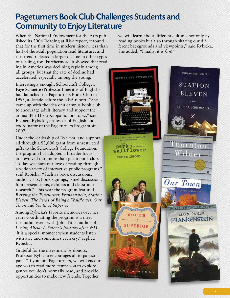# Pageturners Book Club Challenges Students and Community to Enjoy Literature

When the National Endowment for the Arts published its 2004 Reading at Risk report, it found that for the first time in modern history, less than half of the adult population read literature, and this trend reflected a larger decline in other types of reading, too. Furthermore, it showed that reading in America was declining rapidly among all groups, but that the rate of decline had accelerated, especially among the young.

Interestingly enough, Schoolcraft College's Faye Schuette (Professor Emeritus of English) had launched the Pageturners Book Club in 1993, a decade before the NEA report. "She came up with the idea of a campus book club to encourage adult literacy and support the annual Phi Theta Kappa honors topic," said Elzbieta Rybicka, professor of English and coordinator of the Pageturners Program since 2007.

Under the leadership of Rybicka, and supported through a \$3,000 grant from unrestricted gifts to the Schoolcraft College Foundation, the program has adopted a broader focus and evolved into more than just a book club. "Today we share our love of reading through a wide variety of interactive public programs," said Rybicka. "Such as book discussions, author visits, book signings, panel discussions, film presentations, exhibits and classroom research." This year the program featured *Burying the Typewriter, Frankenstein, Station Eleven, The Perks of Being a Wallflower, Our Town* and *South of Superior*.

Among Rybicka's favorite memories over her years coordinating the program is a meet the author event with John Titus, author of *Losing Alicia: A Father's Journey after 9/11*. "It is a special moment when students listen with awe and sometimes even cry," replied Rybicka.

Grateful for the investment by donors, Professor Rybicka encourages all to participate. "If you join Pageturners, we will encourage you to read more, tempt you to explore genres you don't normally read, and provide opportunities to make new friends. Together

we will learn about different cultures not only by reading books but also through sharing our different backgrounds and viewpoints," said Rybicka. She added, "Finally, it is *fun*!"